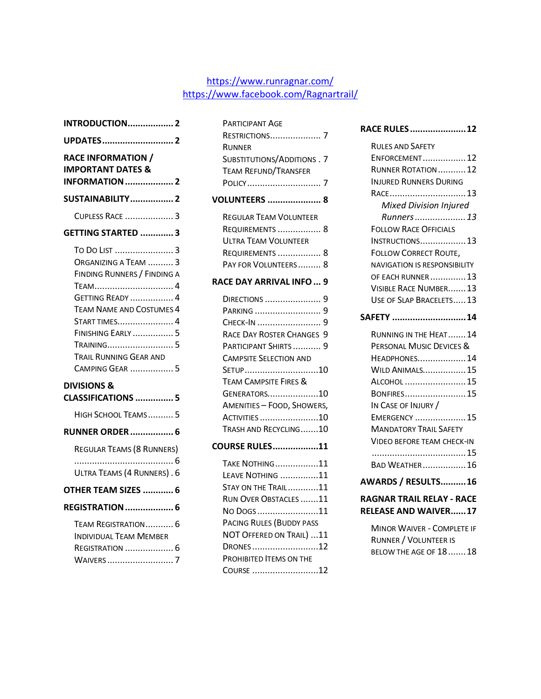#### https://www.runragnar.com/ https://www.facebook.com/Ragnartrail/

| <b>INTRODUCTION 2</b>                                                                                                                                                                                                                                       |  |
|-------------------------------------------------------------------------------------------------------------------------------------------------------------------------------------------------------------------------------------------------------------|--|
| UPDATES 2                                                                                                                                                                                                                                                   |  |
| <b>RACE INFORMATION /</b><br><b>IMPORTANT DATES &amp;</b><br><b>INFORMATION</b> 2                                                                                                                                                                           |  |
| SUSTAINABILITY 2                                                                                                                                                                                                                                            |  |
| CUPLESS RACE  3                                                                                                                                                                                                                                             |  |
| GETTING STARTED 3                                                                                                                                                                                                                                           |  |
| To Do List  3<br>ORGANIZING A TEAM  3<br>FINDING RUNNERS / FINDING A<br>TEAM 4<br><b>GETTING READY  4</b><br><b>TEAM NAME AND COSTUMES 4</b><br>START TIMES 4<br><b>FINISHING EARLY</b> 5<br>TRAINING 5<br>TRAIL RUNNING GEAR AND<br><b>CAMPING GEAR  5</b> |  |
| <b>DIVISIONS &amp;</b><br><b>CLASSIFICATIONS 5</b>                                                                                                                                                                                                          |  |
| HIGH SCHOOL TEAMS5                                                                                                                                                                                                                                          |  |
| <b>RUNNER ORDER</b> 6                                                                                                                                                                                                                                       |  |
| REGULAR TEAMS (8 RUNNERS)<br>. 6<br>ULTRA TEAMS (4 RUNNERS). 6<br>OTHER TEAM SIZES  6<br><b>REGISTRATION  6</b>                                                                                                                                             |  |
| TEAM REGISTRATION 6                                                                                                                                                                                                                                         |  |
| <b>INDIVIDUAL TEAM MEMBER</b><br>Registration  6<br>WAIVERS  7                                                                                                                                                                                              |  |

| <b>PARTICIPANT AGE</b>            |  |
|-----------------------------------|--|
| <b>RESTRICTIONS 7</b>             |  |
| <b>RUNNER</b>                     |  |
| <b>SUBSTITUTIONS/ADDITIONS.7</b>  |  |
| TEAM REFUND/TRANSFER              |  |
|                                   |  |
| <b>VOLUNTEERS  8</b>              |  |
| <b>REGULAR TEAM VOLUNTEER</b>     |  |
| <b>REQUIREMENTS  8</b>            |  |
| <b>ULTRA TEAM VOLUNTEER</b>       |  |
| Requirements  8                   |  |
| PAY FOR VOLUNTEERS 8              |  |
|                                   |  |
| <b>RACE DAY ARRIVAL INFO  9</b>   |  |
|                                   |  |
| PARKING  9                        |  |
|                                   |  |
| RACE DAY ROSTER CHANGES 9         |  |
| PARTICIPANT SHIRTS  9             |  |
| <b>CAMPSITE SELECTION AND</b>     |  |
| SETUP10                           |  |
| <b>TEAM CAMPSITE FIRES &amp;</b>  |  |
| GENERATORS10                      |  |
| <b>AMENITIES - FOOD, SHOWERS,</b> |  |
| ACTIVITIES 10                     |  |
| TRASH AND RECYCLING10             |  |
| COURSE RULES11                    |  |
| TAKE NOTHING 11                   |  |
| LEAVE NOTHING 11                  |  |
| <b>STAY ON THE TRAIL11</b>        |  |
| RUN OVER OBSTACLES 11             |  |
| No Dogs 11                        |  |
| PACING RULES (BUDDY PASS          |  |
| NOT OFFERED ON TRAIL) 11          |  |
| DRONES12                          |  |
| PROHIBITED ITEMS ON THE           |  |

COURSE ..........................12

#### **RACE RULES......................12**

| <b>RULES AND SAFFTY</b>             |  |
|-------------------------------------|--|
| ENFORCEMENT 12                      |  |
| <b>RUNNER ROTATION</b> 12           |  |
| <b>INJURED RUNNERS DURING</b>       |  |
| RACE 13                             |  |
| <b>Mixed Division Injured</b>       |  |
| Runners 13                          |  |
| <b>FOLLOW RACE OFFICIALS</b>        |  |
| <b>INSTRUCTIONS 13</b>              |  |
| <b>FOLLOW CORRECT ROUTE,</b>        |  |
| <b>NAVIGATION IS RESPONSIBILITY</b> |  |
| OF EACH RUNNER  13                  |  |
| VISIBLE RACE NUMBER 13              |  |
| USE OF SLAP BRACELETS 13            |  |
|                                     |  |
| SAFETY 14                           |  |
| RUNNING IN THE HEAT 14              |  |
| PERSONAL MUSIC DEVICES &            |  |
| HEADPHONES 14                       |  |
| <b>WILD ANIMALS 15</b>              |  |
| ALCOHOL  15                         |  |
| BONFIRES 15                         |  |
| IN CASE OF INJURY /                 |  |
| EMERGENCY  15                       |  |
| <b>MANDATORY TRAIL SAFFTY</b>       |  |
| VIDEO BEFORE TEAM CHECK-IN          |  |
|                                     |  |
| BAD WEATHER 16                      |  |

#### **AWARDS / RESULTS..........16**

#### **RAGNAR TRAIL RELAY - RACE RELEASE AND WAIVER......17**

MINOR WAIVER - COMPLETE IF RUNNER / VOLUNTEER IS BELOW THE AGE OF 18.......18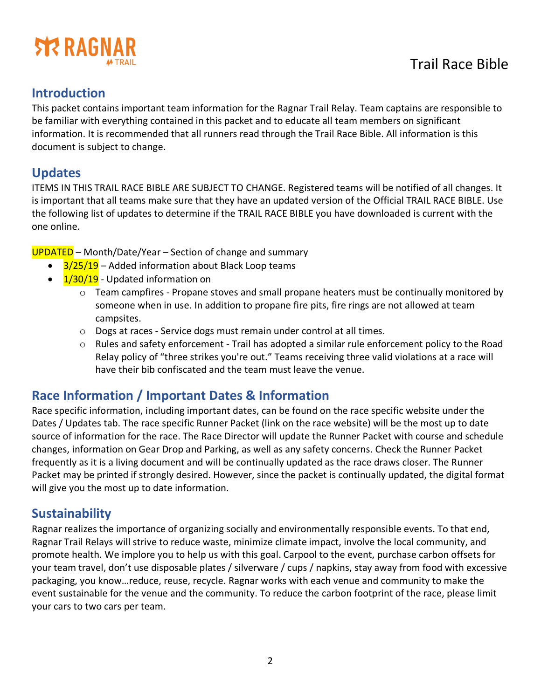

## **Introduction**

This packet contains important team information for the Ragnar Trail Relay. Team captains are responsible to be familiar with everything contained in this packet and to educate all team members on significant information. It is recommended that all runners read through the Trail Race Bible. All information is this document is subject to change.

## **Updates**

ITEMS IN THIS TRAIL RACE BIBLE ARE SUBJECT TO CHANGE. Registered teams will be notified of all changes. It is important that all teams make sure that they have an updated version of the Official TRAIL RACE BIBLE. Use the following list of updates to determine if the TRAIL RACE BIBLE you have downloaded is current with the one online.

UPDATED – Month/Date/Year – Section of change and summary

- $3/25/19$  Added information about Black Loop teams
- $\bullet$   $1/30/19$  Updated information on
	- o Team campfires Propane stoves and small propane heaters must be continually monitored by someone when in use. In addition to propane fire pits, fire rings are not allowed at team campsites.
	- o Dogs at races Service dogs must remain under control at all times.
	- $\circ$  Rules and safety enforcement Trail has adopted a similar rule enforcement policy to the Road Relay policy of "three strikes you're out." Teams receiving three valid violations at a race will have their bib confiscated and the team must leave the venue.

## **Race Information / Important Dates & Information**

Race specific information, including important dates, can be found on the race specific website under the Dates / Updates tab. The race specific Runner Packet (link on the race website) will be the most up to date source of information for the race. The Race Director will update the Runner Packet with course and schedule changes, information on Gear Drop and Parking, as well as any safety concerns. Check the Runner Packet frequently as it is a living document and will be continually updated as the race draws closer. The Runner Packet may be printed if strongly desired. However, since the packet is continually updated, the digital format will give you the most up to date information.

# **Sustainability**

Ragnar realizes the importance of organizing socially and environmentally responsible events. To that end, Ragnar Trail Relays will strive to reduce waste, minimize climate impact, involve the local community, and promote health. We implore you to help us with this goal. Carpool to the event, purchase carbon offsets for your team travel, don't use disposable plates / silverware / cups / napkins, stay away from food with excessive packaging, you know…reduce, reuse, recycle. Ragnar works with each venue and community to make the event sustainable for the venue and the community. To reduce the carbon footprint of the race, please limit your cars to two cars per team.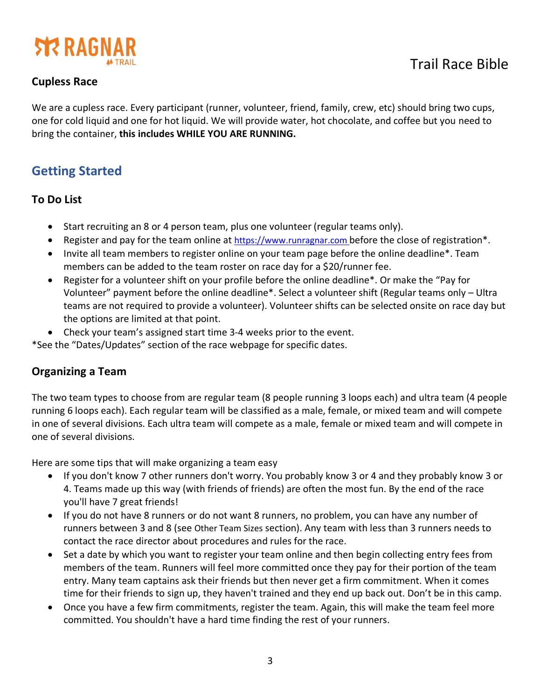

#### **Cupless Race**

We are a cupless race. Every participant (runner, volunteer, friend, family, crew, etc) should bring two cups, one for cold liquid and one for hot liquid. We will provide water, hot chocolate, and coffee but you need to bring the container, **this includes WHILE YOU ARE RUNNING.**

# **Getting Started**

#### **To Do List**

- Start recruiting an 8 or 4 person team, plus one volunteer (regular teams only).
- Register and pay for the team online at https://www.runragnar.com before the close of registration\*.
- Invite all team members to register online on your team page before the online deadline\*. Team members can be added to the team roster on race day for a \$20/runner fee.
- Register for a volunteer shift on your profile before the online deadline\*. Or make the "Pay for Volunteer" payment before the online deadline\*. Select a volunteer shift (Regular teams only – Ultra teams are not required to provide a volunteer). Volunteer shifts can be selected onsite on race day but the options are limited at that point.
- Check your team's assigned start time 3-4 weeks prior to the event.

\*See the "Dates/Updates" section of the race webpage for specific dates.

#### **Organizing a Team**

The two team types to choose from are regular team (8 people running 3 loops each) and ultra team (4 people running 6 loops each). Each regular team will be classified as a male, female, or mixed team and will compete in one of several divisions. Each ultra team will compete as a male, female or mixed team and will compete in one of several divisions.

Here are some tips that will make organizing a team easy

- If you don't know 7 other runners don't worry. You probably know 3 or 4 and they probably know 3 or 4. Teams made up this way (with friends of friends) are often the most fun. By the end of the race you'll have 7 great friends!
- If you do not have 8 runners or do not want 8 runners, no problem, you can have any number of runners between 3 and 8 (see Other Team Sizes section). Any team with less than 3 runners needs to contact the race director about procedures and rules for the race.
- Set a date by which you want to register your team online and then begin collecting entry fees from members of the team. Runners will feel more committed once they pay for their portion of the team entry. Many team captains ask their friends but then never get a firm commitment. When it comes time for their friends to sign up, they haven't trained and they end up back out. Don't be in this camp.
- Once you have a few firm commitments, register the team. Again, this will make the team feel more committed. You shouldn't have a hard time finding the rest of your runners.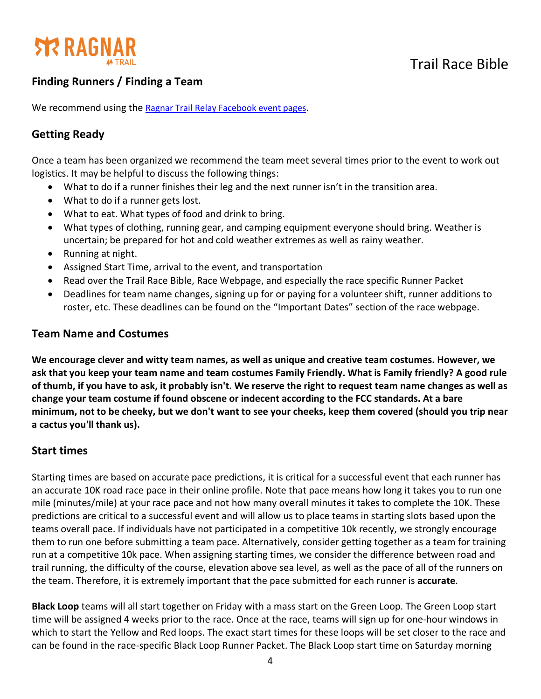

### **Finding Runners / Finding a Team**

We recommend using the Ragnar Trail Relay Facebook event pages.

#### **Getting Ready**

Once a team has been organized we recommend the team meet several times prior to the event to work out logistics. It may be helpful to discuss the following things:

- What to do if a runner finishes their leg and the next runner isn't in the transition area.
- What to do if a runner gets lost.
- What to eat. What types of food and drink to bring.
- What types of clothing, running gear, and camping equipment everyone should bring. Weather is uncertain; be prepared for hot and cold weather extremes as well as rainy weather.
- Running at night.
- Assigned Start Time, arrival to the event, and transportation
- Read over the Trail Race Bible, Race Webpage, and especially the race specific Runner Packet
- Deadlines for team name changes, signing up for or paying for a volunteer shift, runner additions to roster, etc. These deadlines can be found on the "Important Dates" section of the race webpage.

#### **Team Name and Costumes**

**We encourage clever and witty team names, as well as unique and creative team costumes. However, we ask that you keep your team name and team costumes Family Friendly. What is Family friendly? A good rule of thumb, if you have to ask, it probably isn't. We reserve the right to request team name changes as well as change your team costume if found obscene or indecent according to the FCC standards. At a bare minimum, not to be cheeky, but we don't want to see your cheeks, keep them covered (should you trip near a cactus you'll thank us).**

#### **Start times**

Starting times are based on accurate pace predictions, it is critical for a successful event that each runner has an accurate 10K road race pace in their online profile. Note that pace means how long it takes you to run one mile (minutes/mile) at your race pace and not how many overall minutes it takes to complete the 10K. These predictions are critical to a successful event and will allow us to place teams in starting slots based upon the teams overall pace. If individuals have not participated in a competitive 10k recently, we strongly encourage them to run one before submitting a team pace. Alternatively, consider getting together as a team for training run at a competitive 10k pace. When assigning starting times, we consider the difference between road and trail running, the difficulty of the course, elevation above sea level, as well as the pace of all of the runners on the team. Therefore, it is extremely important that the pace submitted for each runner is **accurate**.

**Black Loop** teams will all start together on Friday with a mass start on the Green Loop. The Green Loop start time will be assigned 4 weeks prior to the race. Once at the race, teams will sign up for one-hour windows in which to start the Yellow and Red loops. The exact start times for these loops will be set closer to the race and can be found in the race-specific Black Loop Runner Packet. The Black Loop start time on Saturday morning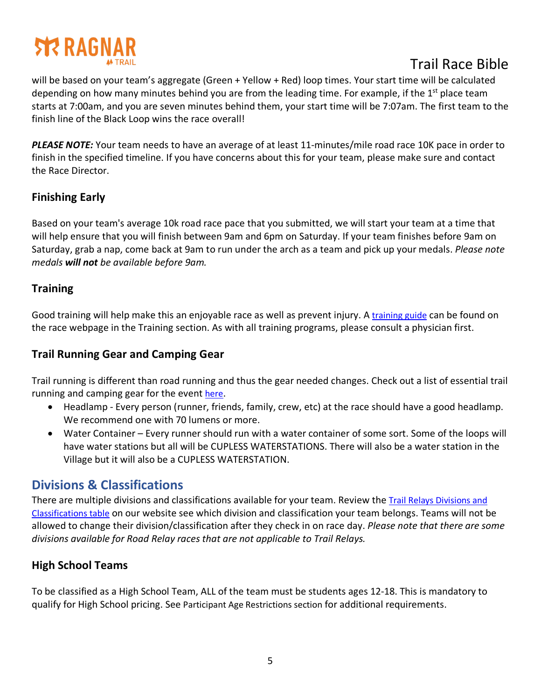# **STR RAGNA**

# Trail Race Bible

will be based on your team's aggregate (Green + Yellow + Red) loop times. Your start time will be calculated depending on how many minutes behind you are from the leading time. For example, if the  $1<sup>st</sup>$  place team starts at 7:00am, and you are seven minutes behind them, your start time will be 7:07am. The first team to the finish line of the Black Loop wins the race overall!

*PLEASE NOTE:* Your team needs to have an average of at least 11-minutes/mile road race 10K pace in order to finish in the specified timeline. If you have concerns about this for your team, please make sure and contact the Race Director.

#### **Finishing Early**

Based on your team's average 10k road race pace that you submitted, we will start your team at a time that will help ensure that you will finish between 9am and 6pm on Saturday. If your team finishes before 9am on Saturday, grab a nap, come back at 9am to run under the arch as a team and pick up your medals. *Please note medals will not be available before 9am.*

#### **Training**

Good training will help make this an enjoyable race as well as prevent injury. A training guide can be found on the race webpage in the Training section. As with all training programs, please consult a physician first.

### **Trail Running Gear and Camping Gear**

Trail running is different than road running and thus the gear needed changes. Check out a list of essential trail running and camping gear for the event here.

- Headlamp Every person (runner, friends, family, crew, etc) at the race should have a good headlamp. We recommend one with 70 lumens or more.
- Water Container Every runner should run with a water container of some sort. Some of the loops will have water stations but all will be CUPLESS WATERSTATIONS. There will also be a water station in the Village but it will also be a CUPLESS WATERSTATION.

## **Divisions & Classifications**

There are multiple divisions and classifications available for your team. Review the Trail Relays Divisions and Classifications table on our website see which division and classification your team belongs. Teams will not be allowed to change their division/classification after they check in on race day. *Please note that there are some divisions available for Road Relay races that are not applicable to Trail Relays.*

### **High School Teams**

To be classified as a High School Team, ALL of the team must be students ages 12-18. This is mandatory to qualify for High School pricing. See Participant Age Restrictions section for additional requirements.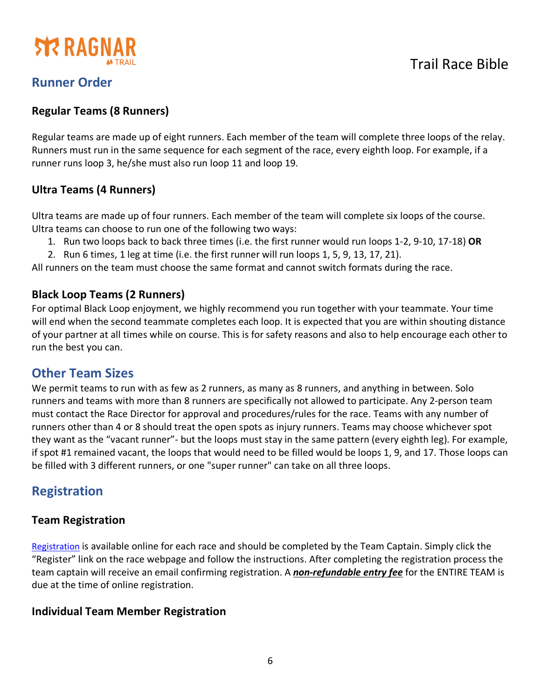

## **Runner Order**

#### **Regular Teams (8 Runners)**

Regular teams are made up of eight runners. Each member of the team will complete three loops of the relay. Runners must run in the same sequence for each segment of the race, every eighth loop. For example, if a runner runs loop 3, he/she must also run loop 11 and loop 19.

#### **Ultra Teams (4 Runners)**

Ultra teams are made up of four runners. Each member of the team will complete six loops of the course. Ultra teams can choose to run one of the following two ways:

- 1. Run two loops back to back three times (i.e. the first runner would run loops 1-2, 9-10, 17-18) **OR**
- 2. Run 6 times, 1 leg at time (i.e. the first runner will run loops 1, 5, 9, 13, 17, 21).

All runners on the team must choose the same format and cannot switch formats during the race.

#### **Black Loop Teams (2 Runners)**

For optimal Black Loop enjoyment, we highly recommend you run together with your teammate. Your time will end when the second teammate completes each loop. It is expected that you are within shouting distance of your partner at all times while on course. This is for safety reasons and also to help encourage each other to run the best you can.

### **Other Team Sizes**

We permit teams to run with as few as 2 runners, as many as 8 runners, and anything in between. Solo runners and teams with more than 8 runners are specifically not allowed to participate. Any 2-person team must contact the Race Director for approval and procedures/rules for the race. Teams with any number of runners other than 4 or 8 should treat the open spots as injury runners. Teams may choose whichever spot they want as the "vacant runner"- but the loops must stay in the same pattern (every eighth leg). For example, if spot #1 remained vacant, the loops that would need to be filled would be loops 1, 9, and 17. Those loops can be filled with 3 different runners, or one "super runner" can take on all three loops.

## **Registration**

#### **Team Registration**

Registration is available online for each race and should be completed by the Team Captain. Simply click the "Register" link on the race webpage and follow the instructions. After completing the registration process the team captain will receive an email confirming registration. A *non-refundable entry fee* for the ENTIRE TEAM is due at the time of online registration.

#### **Individual Team Member Registration**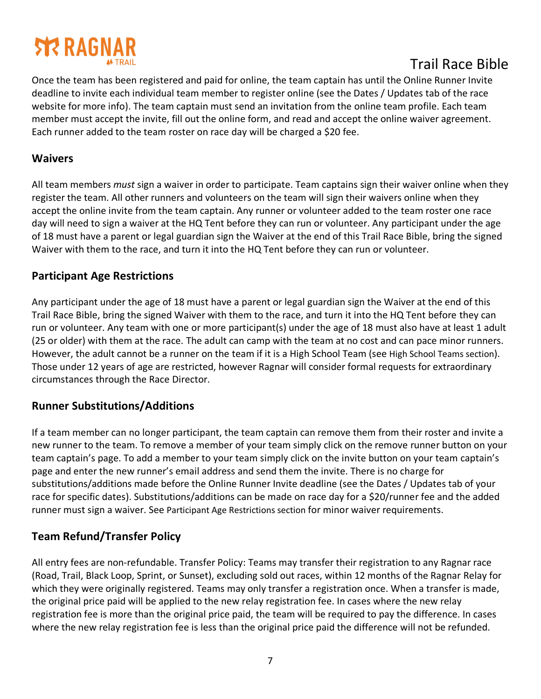# **STRAGNAR**

# Trail Race Bible

Once the team has been registered and paid for online, the team captain has until the Online Runner Invite deadline to invite each individual team member to register online (see the Dates / Updates tab of the race website for more info). The team captain must send an invitation from the online team profile. Each team member must accept the invite, fill out the online form, and read and accept the online waiver agreement. Each runner added to the team roster on race day will be charged a \$20 fee.

#### **Waivers**

All team members *must* sign a waiver in order to participate. Team captains sign their waiver online when they register the team. All other runners and volunteers on the team will sign their waivers online when they accept the online invite from the team captain. Any runner or volunteer added to the team roster one race day will need to sign a waiver at the HQ Tent before they can run or volunteer. Any participant under the age of 18 must have a parent or legal guardian sign the Waiver at the end of this Trail Race Bible, bring the signed Waiver with them to the race, and turn it into the HQ Tent before they can run or volunteer.

#### **Participant Age Restrictions**

Any participant under the age of 18 must have a parent or legal guardian sign the Waiver at the end of this Trail Race Bible, bring the signed Waiver with them to the race, and turn it into the HQ Tent before they can run or volunteer. Any team with one or more participant(s) under the age of 18 must also have at least 1 adult (25 or older) with them at the race. The adult can camp with the team at no cost and can pace minor runners. However, the adult cannot be a runner on the team if it is a High School Team (see High School Teams section). Those under 12 years of age are restricted, however Ragnar will consider formal requests for extraordinary circumstances through the Race Director.

#### **Runner Substitutions/Additions**

If a team member can no longer participant, the team captain can remove them from their roster and invite a new runner to the team. To remove a member of your team simply click on the remove runner button on your team captain's page. To add a member to your team simply click on the invite button on your team captain's page and enter the new runner's email address and send them the invite. There is no charge for substitutions/additions made before the Online Runner Invite deadline (see the Dates / Updates tab of your race for specific dates). Substitutions/additions can be made on race day for a \$20/runner fee and the added runner must sign a waiver. See Participant Age Restrictions section for minor waiver requirements.

#### **Team Refund/Transfer Policy**

All entry fees are non-refundable. Transfer Policy: Teams may transfer their registration to any Ragnar race (Road, Trail, Black Loop, Sprint, or Sunset), excluding sold out races, within 12 months of the Ragnar Relay for which they were originally registered. Teams may only transfer a registration once. When a transfer is made, the original price paid will be applied to the new relay registration fee. In cases where the new relay registration fee is more than the original price paid, the team will be required to pay the difference. In cases where the new relay registration fee is less than the original price paid the difference will not be refunded.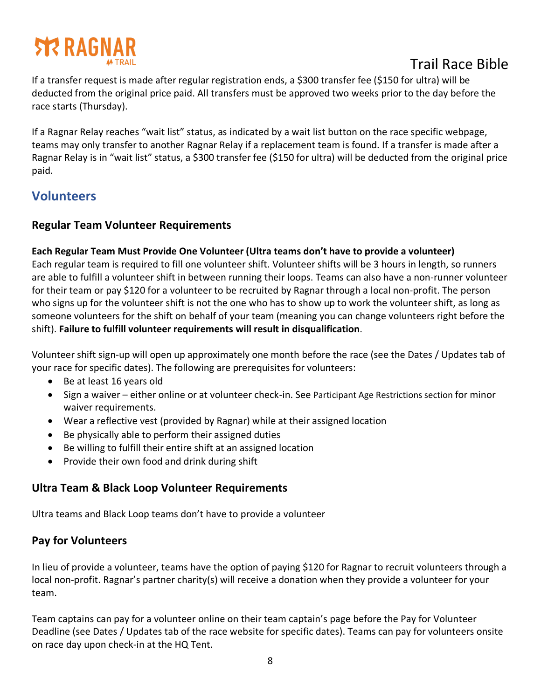# **STR RAGNAR**

# Trail Race Bible

If a transfer request is made after regular registration ends, a \$300 transfer fee (\$150 for ultra) will be deducted from the original price paid. All transfers must be approved two weeks prior to the day before the race starts (Thursday).

If a Ragnar Relay reaches "wait list" status, as indicated by a wait list button on the race specific webpage, teams may only transfer to another Ragnar Relay if a replacement team is found. If a transfer is made after a Ragnar Relay is in "wait list" status, a \$300 transfer fee (\$150 for ultra) will be deducted from the original price paid.

## **Volunteers**

#### **Regular Team Volunteer Requirements**

#### **Each Regular Team Must Provide One Volunteer (Ultra teams don't have to provide a volunteer)**

Each regular team is required to fill one volunteer shift. Volunteer shifts will be 3 hours in length, so runners are able to fulfill a volunteer shift in between running their loops. Teams can also have a non-runner volunteer for their team or pay \$120 for a volunteer to be recruited by Ragnar through a local non-profit. The person who signs up for the volunteer shift is not the one who has to show up to work the volunteer shift, as long as someone volunteers for the shift on behalf of your team (meaning you can change volunteers right before the shift). **Failure to fulfill volunteer requirements will result in disqualification**.

Volunteer shift sign-up will open up approximately one month before the race (see the Dates / Updates tab of your race for specific dates). The following are prerequisites for volunteers:

- Be at least 16 years old
- Sign a waiver either online or at volunteer check-in. See Participant Age Restrictions section for minor waiver requirements.
- Wear a reflective vest (provided by Ragnar) while at their assigned location
- Be physically able to perform their assigned duties
- Be willing to fulfill their entire shift at an assigned location
- Provide their own food and drink during shift

#### **Ultra Team & Black Loop Volunteer Requirements**

Ultra teams and Black Loop teams don't have to provide a volunteer

#### **Pay for Volunteers**

In lieu of provide a volunteer, teams have the option of paying \$120 for Ragnar to recruit volunteers through a local non-profit. Ragnar's partner charity(s) will receive a donation when they provide a volunteer for your team.

Team captains can pay for a volunteer online on their team captain's page before the Pay for Volunteer Deadline (see Dates / Updates tab of the race website for specific dates). Teams can pay for volunteers onsite on race day upon check-in at the HQ Tent.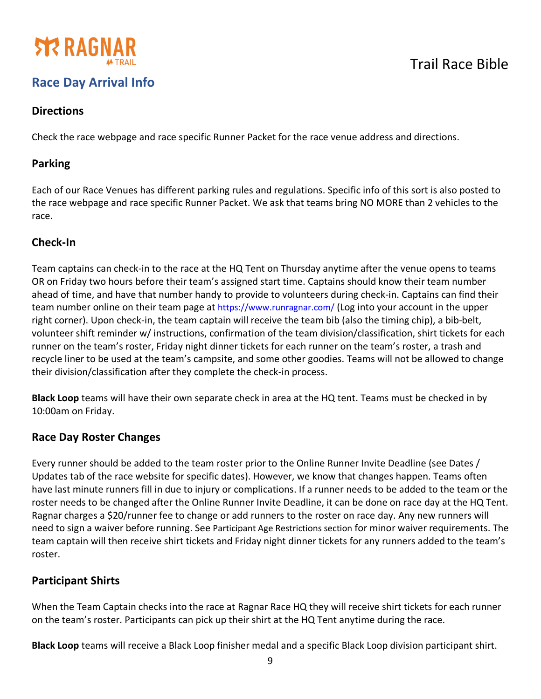

# **Race Day Arrival Info**

#### **Directions**

Check the race webpage and race specific Runner Packet for the race venue address and directions.

#### **Parking**

Each of our Race Venues has different parking rules and regulations. Specific info of this sort is also posted to the race webpage and race specific Runner Packet. We ask that teams bring NO MORE than 2 vehicles to the race.

#### **Check-In**

Team captains can check-in to the race at the HQ Tent on Thursday anytime after the venue opens to teams OR on Friday two hours before their team's assigned start time. Captains should know their team number ahead of time, and have that number handy to provide to volunteers during check-in. Captains can find their team number online on their team page at https://www.runragnar.com/ (Log into your account in the upper right corner). Upon check-in, the team captain will receive the team bib (also the timing chip), a bib-belt, volunteer shift reminder w/ instructions, confirmation of the team division/classification, shirt tickets for each runner on the team's roster, Friday night dinner tickets for each runner on the team's roster, a trash and recycle liner to be used at the team's campsite, and some other goodies. Teams will not be allowed to change their division/classification after they complete the check-in process.

**Black Loop** teams will have their own separate check in area at the HQ tent. Teams must be checked in by 10:00am on Friday.

#### **Race Day Roster Changes**

Every runner should be added to the team roster prior to the Online Runner Invite Deadline (see Dates / Updates tab of the race website for specific dates). However, we know that changes happen. Teams often have last minute runners fill in due to injury or complications. If a runner needs to be added to the team or the roster needs to be changed after the Online Runner Invite Deadline, it can be done on race day at the HQ Tent. Ragnar charges a \$20/runner fee to change or add runners to the roster on race day. Any new runners will need to sign a waiver before running. See Participant Age Restrictions section for minor waiver requirements. The team captain will then receive shirt tickets and Friday night dinner tickets for any runners added to the team's roster.

#### **Participant Shirts**

When the Team Captain checks into the race at Ragnar Race HQ they will receive shirt tickets for each runner on the team's roster. Participants can pick up their shirt at the HQ Tent anytime during the race.

**Black Loop** teams will receive a Black Loop finisher medal and a specific Black Loop division participant shirt.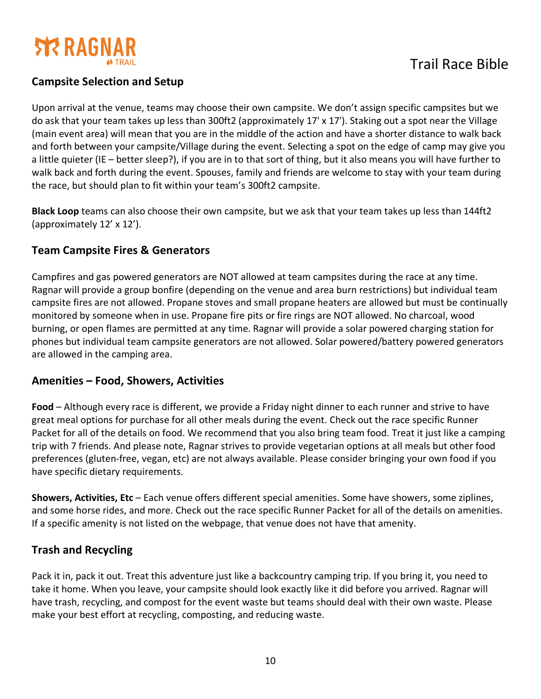

#### **Campsite Selection and Setup**

Upon arrival at the venue, teams may choose their own campsite. We don't assign specific campsites but we do ask that your team takes up less than 300ft2 (approximately 17' x 17'). Staking out a spot near the Village (main event area) will mean that you are in the middle of the action and have a shorter distance to walk back and forth between your campsite/Village during the event. Selecting a spot on the edge of camp may give you a little quieter (IE – better sleep?), if you are in to that sort of thing, but it also means you will have further to walk back and forth during the event. Spouses, family and friends are welcome to stay with your team during the race, but should plan to fit within your team's 300ft2 campsite.

**Black Loop** teams can also choose their own campsite, but we ask that your team takes up less than 144ft2 (approximately 12' x 12').

#### **Team Campsite Fires & Generators**

Campfires and gas powered generators are NOT allowed at team campsites during the race at any time. Ragnar will provide a group bonfire (depending on the venue and area burn restrictions) but individual team campsite fires are not allowed. Propane stoves and small propane heaters are allowed but must be continually monitored by someone when in use. Propane fire pits or fire rings are NOT allowed. No charcoal, wood burning, or open flames are permitted at any time. Ragnar will provide a solar powered charging station for phones but individual team campsite generators are not allowed. Solar powered/battery powered generators are allowed in the camping area.

#### **Amenities – Food, Showers, Activities**

**Food** – Although every race is different, we provide a Friday night dinner to each runner and strive to have great meal options for purchase for all other meals during the event. Check out the race specific Runner Packet for all of the details on food. We recommend that you also bring team food. Treat it just like a camping trip with 7 friends. And please note, Ragnar strives to provide vegetarian options at all meals but other food preferences (gluten-free, vegan, etc) are not always available. Please consider bringing your own food if you have specific dietary requirements.

**Showers, Activities, Etc** – Each venue offers different special amenities. Some have showers, some ziplines, and some horse rides, and more. Check out the race specific Runner Packet for all of the details on amenities. If a specific amenity is not listed on the webpage, that venue does not have that amenity.

#### **Trash and Recycling**

Pack it in, pack it out. Treat this adventure just like a backcountry camping trip. If you bring it, you need to take it home. When you leave, your campsite should look exactly like it did before you arrived. Ragnar will have trash, recycling, and compost for the event waste but teams should deal with their own waste. Please make your best effort at recycling, composting, and reducing waste.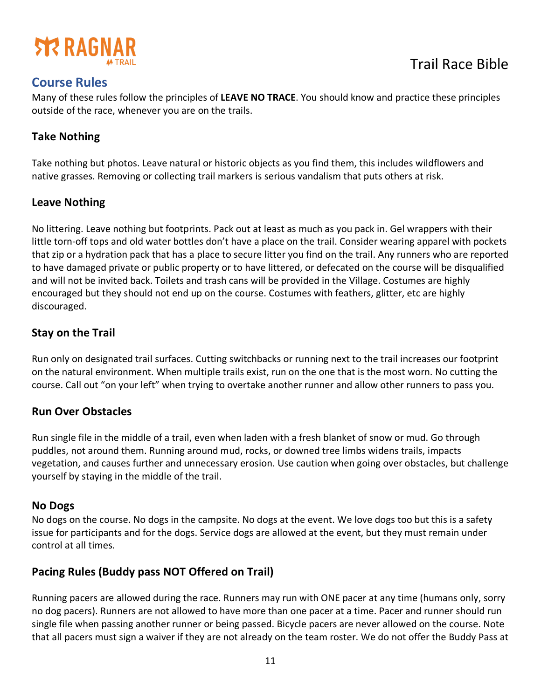

## **Course Rules**

Many of these rules follow the principles of **LEAVE NO TRACE**. You should know and practice these principles outside of the race, whenever you are on the trails.

#### **Take Nothing**

Take nothing but photos. Leave natural or historic objects as you find them, this includes wildflowers and native grasses. Removing or collecting trail markers is serious vandalism that puts others at risk.

#### **Leave Nothing**

No littering. Leave nothing but footprints. Pack out at least as much as you pack in. Gel wrappers with their little torn-off tops and old water bottles don't have a place on the trail. Consider wearing apparel with pockets that zip or a hydration pack that has a place to secure litter you find on the trail. Any runners who are reported to have damaged private or public property or to have littered, or defecated on the course will be disqualified and will not be invited back. Toilets and trash cans will be provided in the Village. Costumes are highly encouraged but they should not end up on the course. Costumes with feathers, glitter, etc are highly discouraged.

#### **Stay on the Trail**

Run only on designated trail surfaces. Cutting switchbacks or running next to the trail increases our footprint on the natural environment. When multiple trails exist, run on the one that is the most worn. No cutting the course. Call out "on your left" when trying to overtake another runner and allow other runners to pass you.

#### **Run Over Obstacles**

Run single file in the middle of a trail, even when laden with a fresh blanket of snow or mud. Go through puddles, not around them. Running around mud, rocks, or downed tree limbs widens trails, impacts vegetation, and causes further and unnecessary erosion. Use caution when going over obstacles, but challenge yourself by staying in the middle of the trail.

#### **No Dogs**

No dogs on the course. No dogs in the campsite. No dogs at the event. We love dogs too but this is a safety issue for participants and for the dogs. Service dogs are allowed at the event, but they must remain under control at all times.

#### **Pacing Rules (Buddy pass NOT Offered on Trail)**

Running pacers are allowed during the race. Runners may run with ONE pacer at any time (humans only, sorry no dog pacers). Runners are not allowed to have more than one pacer at a time. Pacer and runner should run single file when passing another runner or being passed. Bicycle pacers are never allowed on the course. Note that all pacers must sign a waiver if they are not already on the team roster. We do not offer the Buddy Pass at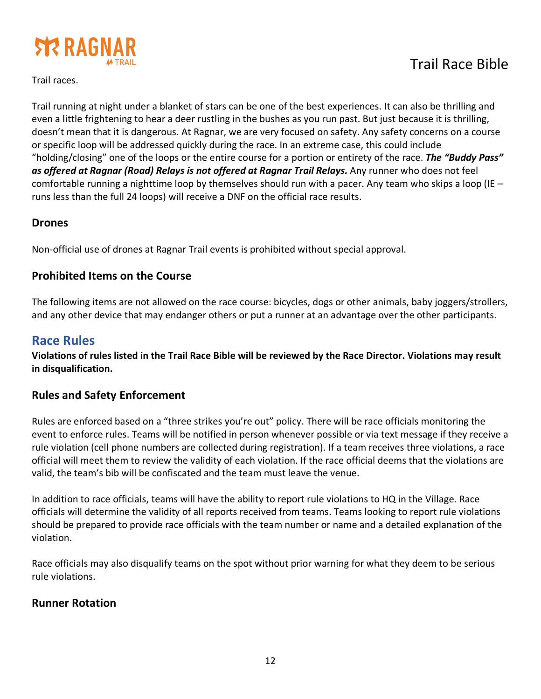

Trail running at night under a blanket of stars can be one of the best experiences. It can also be thrilling and even a little frightening to hear a deer rustling in the bushes as you run past. But just because it is thrilling, doesn't mean that it is dangerous. At Ragnar, we are very focused on safety. Any safety concerns on a course or specific loop will be addressed quickly during the race. In an extreme case, this could include "holding/closing" one of the loops or the entire course for a portion or entirety of the race. *The "Buddy Pass" as offered at Ragnar (Road) Relays is not offered at Ragnar Trail Relays.* Any runner who does not feel comfortable running a nighttime loop by themselves should run with a pacer. Any team who skips a loop (IE – runs less than the full 24 loops) will receive a DNF on the official race results.

#### **Drones**

Non-official use of drones at Ragnar Trail events is prohibited without special approval.

#### **Prohibited Items on the Course**

The following items are not allowed on the race course: bicycles, dogs or other animals, baby joggers/strollers, and any other device that may endanger others or put a runner at an advantage over the other participants.

### **Race Rules**

**Violations of rules listed in the Trail Race Bible will be reviewed by the Race Director. Violations may result in disqualification.**

#### **Rules and Safety Enforcement**

Rules are enforced based on a "three strikes you're out" policy. There will be race officials monitoring the event to enforce rules. Teams will be notified in person whenever possible or via text message if they receive a rule violation (cell phone numbers are collected during registration). If a team receives three violations, a race official will meet them to review the validity of each violation. If the race official deems that the violations are valid, the team's bib will be confiscated and the team must leave the venue.

In addition to race officials, teams will have the ability to report rule violations to HQ in the Village. Race officials will determine the validity of all reports received from teams. Teams looking to report rule violations should be prepared to provide race officials with the team number or name and a detailed explanation of the violation.

Race officials may also disqualify teams on the spot without prior warning for what they deem to be serious rule violations.

#### **Runner Rotation**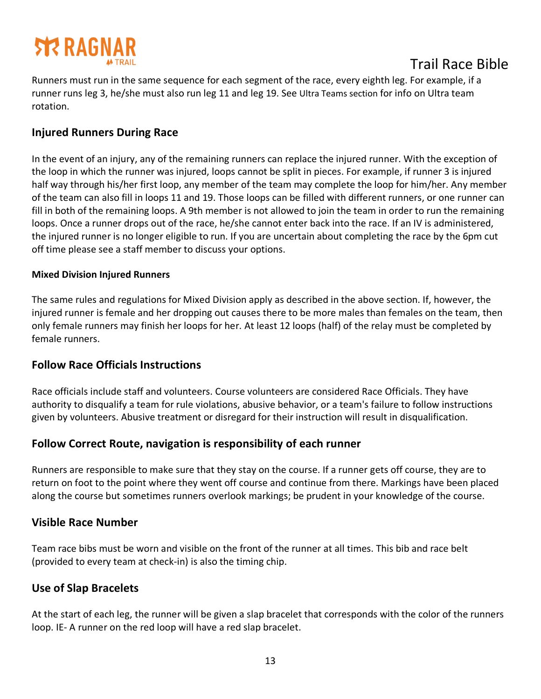

Runners must run in the same sequence for each segment of the race, every eighth leg. For example, if a runner runs leg 3, he/she must also run leg 11 and leg 19. See Ultra Teams section for info on Ultra team rotation.

#### **Injured Runners During Race**

In the event of an injury, any of the remaining runners can replace the injured runner. With the exception of the loop in which the runner was injured, loops cannot be split in pieces. For example, if runner 3 is injured half way through his/her first loop, any member of the team may complete the loop for him/her. Any member of the team can also fill in loops 11 and 19. Those loops can be filled with different runners, or one runner can fill in both of the remaining loops. A 9th member is not allowed to join the team in order to run the remaining loops. Once a runner drops out of the race, he/she cannot enter back into the race. If an IV is administered, the injured runner is no longer eligible to run. If you are uncertain about completing the race by the 6pm cut off time please see a staff member to discuss your options.

#### **Mixed Division Injured Runners**

The same rules and regulations for Mixed Division apply as described in the above section. If, however, the injured runner is female and her dropping out causes there to be more males than females on the team, then only female runners may finish her loops for her. At least 12 loops (half) of the relay must be completed by female runners.

#### **Follow Race Officials Instructions**

Race officials include staff and volunteers. Course volunteers are considered Race Officials. They have authority to disqualify a team for rule violations, abusive behavior, or a team's failure to follow instructions given by volunteers. Abusive treatment or disregard for their instruction will result in disqualification.

#### **Follow Correct Route, navigation is responsibility of each runner**

Runners are responsible to make sure that they stay on the course. If a runner gets off course, they are to return on foot to the point where they went off course and continue from there. Markings have been placed along the course but sometimes runners overlook markings; be prudent in your knowledge of the course.

#### **Visible Race Number**

Team race bibs must be worn and visible on the front of the runner at all times. This bib and race belt (provided to every team at check-in) is also the timing chip.

#### **Use of Slap Bracelets**

At the start of each leg, the runner will be given a slap bracelet that corresponds with the color of the runners loop. IE- A runner on the red loop will have a red slap bracelet.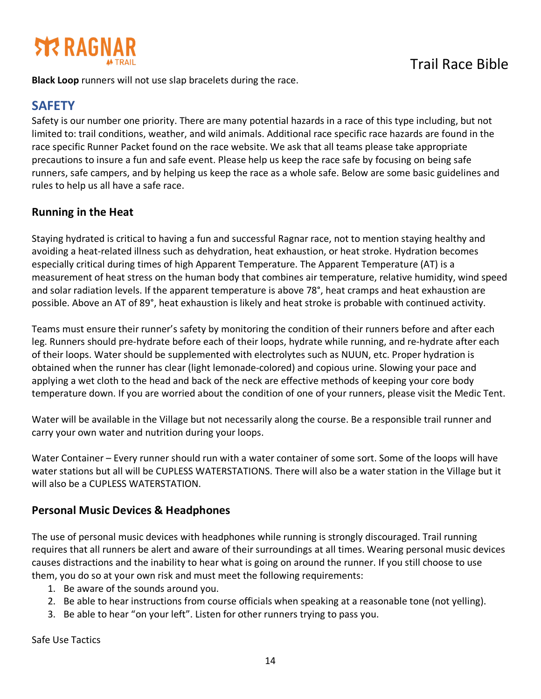

**Black Loop** runners will not use slap bracelets during the race.

## **SAFETY**

Safety is our number one priority. There are many potential hazards in a race of this type including, but not limited to: trail conditions, weather, and wild animals. Additional race specific race hazards are found in the race specific Runner Packet found on the race website. We ask that all teams please take appropriate precautions to insure a fun and safe event. Please help us keep the race safe by focusing on being safe runners, safe campers, and by helping us keep the race as a whole safe. Below are some basic guidelines and rules to help us all have a safe race.

#### **Running in the Heat**

Staying hydrated is critical to having a fun and successful Ragnar race, not to mention staying healthy and avoiding a heat-related illness such as dehydration, heat exhaustion, or heat stroke. Hydration becomes especially critical during times of high Apparent Temperature. The Apparent Temperature (AT) is a measurement of heat stress on the human body that combines air temperature, relative humidity, wind speed and solar radiation levels. If the apparent temperature is above 78°, heat cramps and heat exhaustion are possible. Above an AT of 89°, heat exhaustion is likely and heat stroke is probable with continued activity.

Teams must ensure their runner's safety by monitoring the condition of their runners before and after each leg. Runners should pre-hydrate before each of their loops, hydrate while running, and re-hydrate after each of their loops. Water should be supplemented with electrolytes such as NUUN, etc. Proper hydration is obtained when the runner has clear (light lemonade-colored) and copious urine. Slowing your pace and applying a wet cloth to the head and back of the neck are effective methods of keeping your core body temperature down. If you are worried about the condition of one of your runners, please visit the Medic Tent.

Water will be available in the Village but not necessarily along the course. Be a responsible trail runner and carry your own water and nutrition during your loops.

Water Container – Every runner should run with a water container of some sort. Some of the loops will have water stations but all will be CUPLESS WATERSTATIONS. There will also be a water station in the Village but it will also be a CUPLESS WATERSTATION.

#### **Personal Music Devices & Headphones**

The use of personal music devices with headphones while running is strongly discouraged. Trail running requires that all runners be alert and aware of their surroundings at all times. Wearing personal music devices causes distractions and the inability to hear what is going on around the runner. If you still choose to use them, you do so at your own risk and must meet the following requirements:

- 1. Be aware of the sounds around you.
- 2. Be able to hear instructions from course officials when speaking at a reasonable tone (not yelling).
- 3. Be able to hear "on your left". Listen for other runners trying to pass you.

Safe Use Tactics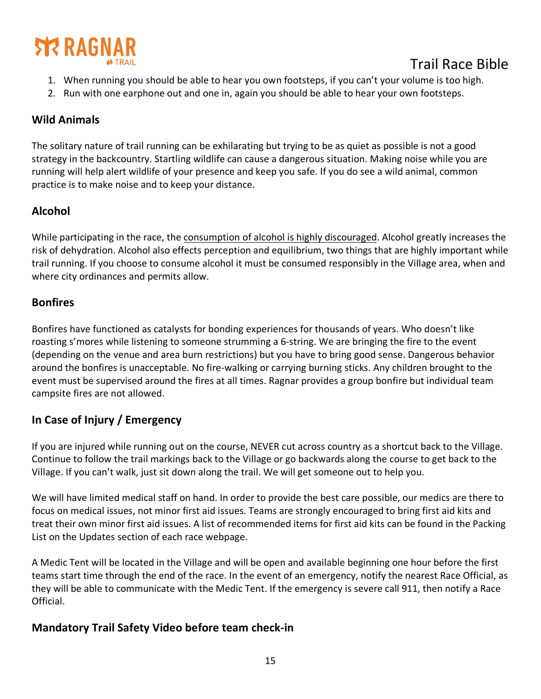

- 1. When running you should be able to hear you own footsteps, if you can't your volume is too high.
- 2. Run with one earphone out and one in, again you should be able to hear your own footsteps.

#### **Wild Animals**

The solitary nature of trail running can be exhilarating but trying to be as quiet as possible is not a good strategy in the backcountry. Startling wildlife can cause a dangerous situation. Making noise while you are running will help alert wildlife of your presence and keep you safe. If you do see a wild animal, common practice is to make noise and to keep your distance.

#### **Alcohol**

While participating in the race, the consumption of alcohol is highly discouraged. Alcohol greatly increases the risk of dehydration. Alcohol also effects perception and equilibrium, two things that are highly important while trail running. If you choose to consume alcohol it must be consumed responsibly in the Village area, when and where city ordinances and permits allow.

#### **Bonfires**

Bonfires have functioned as catalysts for bonding experiences for thousands of years. Who doesn't like roasting s'mores while listening to someone strumming a 6-string. We are bringing the fire to the event (depending on the venue and area burn restrictions) but you have to bring good sense. Dangerous behavior around the bonfires is unacceptable. No fire-walking or carrying burning sticks. Any children brought to the event must be supervised around the fires at all times. Ragnar provides a group bonfire but individual team campsite fires are not allowed.

#### **In Case of Injury / Emergency**

If you are injured while running out on the course, NEVER cut across country as a shortcut back to the Village. Continue to follow the trail markings back to the Village or go backwards along the course to get back to the Village. If you can't walk, just sit down along the trail. We will get someone out to help you.

We will have limited medical staff on hand. In order to provide the best care possible, our medics are there to focus on medical issues, not minor first aid issues. Teams are strongly encouraged to bring first aid kits and treat their own minor first aid issues. A list of recommended items for first aid kits can be found in the Packing List on the Updates section of each race webpage.

A Medic Tent will be located in the Village and will be open and available beginning one hour before the first teams start time through the end of the race. In the event of an emergency, notify the nearest Race Official, as they will be able to communicate with the Medic Tent. If the emergency is severe call 911, then notify a Race Official.

#### **Mandatory Trail Safety Video before team check-in**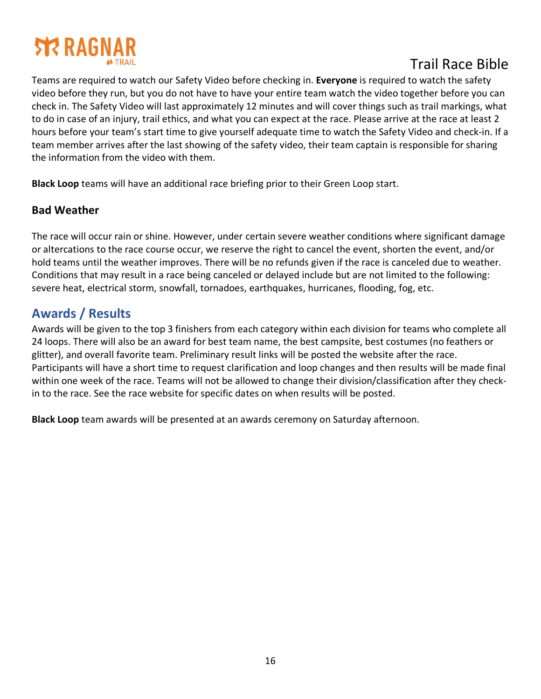# **STR RAGNA**

# Trail Race Bible

Teams are required to watch our Safety Video before checking in. **Everyone** is required to watch the safety video before they run, but you do not have to have your entire team watch the video together before you can check in. The Safety Video will last approximately 12 minutes and will cover things such as trail markings, what to do in case of an injury, trail ethics, and what you can expect at the race. Please arrive at the race at least 2 hours before your team's start time to give yourself adequate time to watch the Safety Video and check-in. If a team member arrives after the last showing of the safety video, their team captain is responsible for sharing the information from the video with them.

**Black Loop** teams will have an additional race briefing prior to their Green Loop start.

#### **Bad Weather**

The race will occur rain or shine. However, under certain severe weather conditions where significant damage or altercations to the race course occur, we reserve the right to cancel the event, shorten the event, and/or hold teams until the weather improves. There will be no refunds given if the race is canceled due to weather. Conditions that may result in a race being canceled or delayed include but are not limited to the following: severe heat, electrical storm, snowfall, tornadoes, earthquakes, hurricanes, flooding, fog, etc.

# **Awards / Results**

Awards will be given to the top 3 finishers from each category within each division for teams who complete all 24 loops. There will also be an award for best team name, the best campsite, best costumes (no feathers or glitter), and overall favorite team. Preliminary result links will be posted the website after the race. Participants will have a short time to request clarification and loop changes and then results will be made final within one week of the race. Teams will not be allowed to change their division/classification after they checkin to the race. See the race website for specific dates on when results will be posted.

**Black Loop** team awards will be presented at an awards ceremony on Saturday afternoon.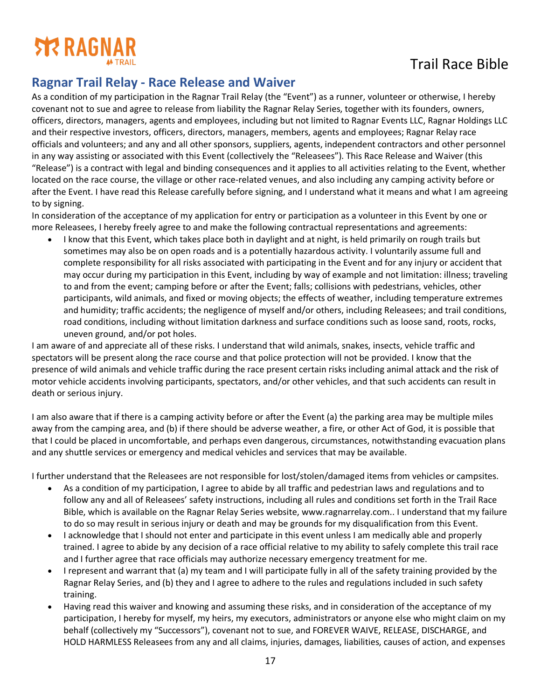

## **Ragnar Trail Relay - Race Release and Waiver**

As a condition of my participation in the Ragnar Trail Relay (the "Event") as a runner, volunteer or otherwise, I hereby covenant not to sue and agree to release from liability the Ragnar Relay Series, together with its founders, owners, officers, directors, managers, agents and employees, including but not limited to Ragnar Events LLC, Ragnar Holdings LLC and their respective investors, officers, directors, managers, members, agents and employees; Ragnar Relay race officials and volunteers; and any and all other sponsors, suppliers, agents, independent contractors and other personnel in any way assisting or associated with this Event (collectively the "Releasees"). This Race Release and Waiver (this "Release") is a contract with legal and binding consequences and it applies to all activities relating to the Event, whether located on the race course, the village or other race-related venues, and also including any camping activity before or after the Event. I have read this Release carefully before signing, and I understand what it means and what I am agreeing to by signing.

In consideration of the acceptance of my application for entry or participation as a volunteer in this Event by one or more Releasees, I hereby freely agree to and make the following contractual representations and agreements:

• I know that this Event, which takes place both in daylight and at night, is held primarily on rough trails but sometimes may also be on open roads and is a potentially hazardous activity. I voluntarily assume full and complete responsibility for all risks associated with participating in the Event and for any injury or accident that may occur during my participation in this Event, including by way of example and not limitation: illness; traveling to and from the event; camping before or after the Event; falls; collisions with pedestrians, vehicles, other participants, wild animals, and fixed or moving objects; the effects of weather, including temperature extremes and humidity; traffic accidents; the negligence of myself and/or others, including Releasees; and trail conditions, road conditions, including without limitation darkness and surface conditions such as loose sand, roots, rocks, uneven ground, and/or pot holes.

I am aware of and appreciate all of these risks. I understand that wild animals, snakes, insects, vehicle traffic and spectators will be present along the race course and that police protection will not be provided. I know that the presence of wild animals and vehicle traffic during the race present certain risks including animal attack and the risk of motor vehicle accidents involving participants, spectators, and/or other vehicles, and that such accidents can result in death or serious injury.

I am also aware that if there is a camping activity before or after the Event (a) the parking area may be multiple miles away from the camping area, and (b) if there should be adverse weather, a fire, or other Act of God, it is possible that that I could be placed in uncomfortable, and perhaps even dangerous, circumstances, notwithstanding evacuation plans and any shuttle services or emergency and medical vehicles and services that may be available.

I further understand that the Releasees are not responsible for lost/stolen/damaged items from vehicles or campsites.

- As a condition of my participation, I agree to abide by all traffic and pedestrian laws and regulations and to follow any and all of Releasees' safety instructions, including all rules and conditions set forth in the Trail Race Bible, which is available on the Ragnar Relay Series website, www.ragnarrelay.com.. I understand that my failure to do so may result in serious injury or death and may be grounds for my disqualification from this Event.
- I acknowledge that I should not enter and participate in this event unless I am medically able and properly trained. I agree to abide by any decision of a race official relative to my ability to safely complete this trail race and I further agree that race officials may authorize necessary emergency treatment for me.
- I represent and warrant that (a) my team and I will participate fully in all of the safety training provided by the Ragnar Relay Series, and (b) they and I agree to adhere to the rules and regulations included in such safety training.
- Having read this waiver and knowing and assuming these risks, and in consideration of the acceptance of my participation, I hereby for myself, my heirs, my executors, administrators or anyone else who might claim on my behalf (collectively my "Successors"), covenant not to sue, and FOREVER WAIVE, RELEASE, DISCHARGE, and HOLD HARMLESS Releasees from any and all claims, injuries, damages, liabilities, causes of action, and expenses